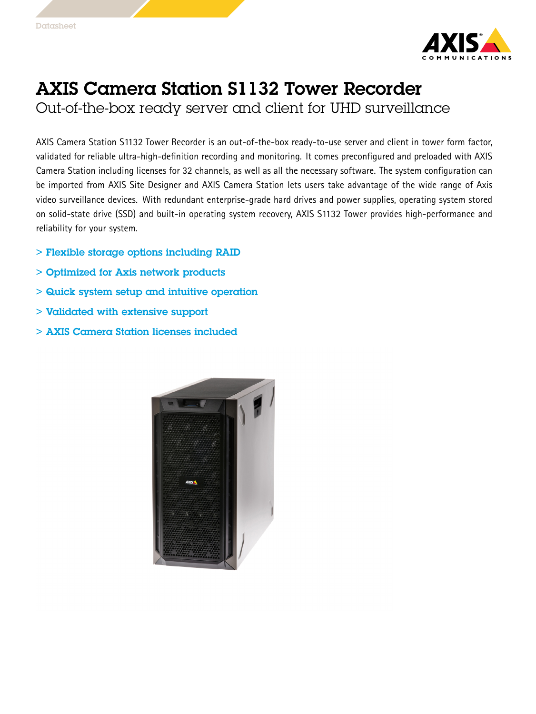

## AXIS Camera Station S1132 Tower Recorder

Out-of-the-box ready server and client for UHD surveillance

AXIS Camera Station S1132 Tower Recorder is an out-of-the-box ready-to-use server and client in tower form factor, validated for reliable ultra-high-definition recording and monitoring. It comes preconfigured and preloaded with AXIS Camera Station including licenses for 32 channels, as well as all the necessary software. The system configuration can be imported from AXIS Site Designer and AXIS Camera Station lets users take advantage of the wide range of Axis video surveillance devices. With redundant enterprise-grade hard drives and power supplies, operating system stored on solid-state drive (SSD) and built-in operating system recovery, AXIS S1132 Tower provides high-performance and reliability for your system.

- > Flexible storage options including RAID
- > Optimized for Axis network products
- > Quick system setup and intuitive operation
- > Validated with extensive support
- > AXIS Camera Station licenses included